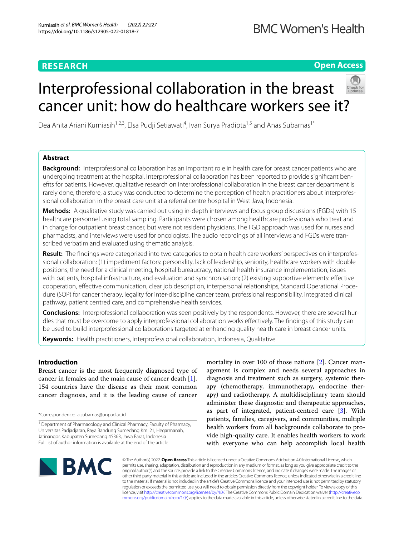# **RESEARCH**

# **Open Access**

# Interprofessional collaboration in the breast cancer unit: how do healthcare workers see it?



Dea Anita Ariani Kurniasih<sup>1,2,3</sup>, Elsa Pudji Setiawati<sup>4</sup>, Ivan Surya Pradipta<sup>1,5</sup> and Anas Subarnas<sup>1\*</sup>

# **Abstract**

**Background:** Interprofessional collaboration has an important role in health care for breast cancer patients who are undergoing treatment at the hospital. Interprofessional collaboration has been reported to provide signifcant benefts for patients. However, qualitative research on interprofessional collaboration in the breast cancer department is rarely done, therefore, a study was conducted to determine the perception of health practitioners about interprofessional collaboration in the breast care unit at a referral centre hospital in West Java, Indonesia.

**Methods:** A qualitative study was carried out using in-depth interviews and focus group discussions (FGDs) with 15 healthcare personnel using total sampling. Participants were chosen among healthcare professionals who treat and in charge for outpatient breast cancer, but were not resident physicians. The FGD approach was used for nurses and pharmacists, and interviews were used for oncologists. The audio recordings of all interviews and FGDs were transcribed verbatim and evaluated using thematic analysis.

**Result:** The fndings were categorized into two categories to obtain health care workers' perspectives on interprofessional collaboration: (1) impediment factors: personality, lack of leadership, seniority, healthcare workers with double positions, the need for a clinical meeting, hospital bureaucracy, national health insurance implementation, issues with patients, hospital infrastructure, and evaluation and synchronisation; (2) existing supportive elements: efective cooperation, efective communication, clear job description, interpersonal relationships, Standard Operational Procedure (SOP) for cancer therapy, legality for inter-discipline cancer team, professional responsibility, integrated clinical pathway, patient centred care, and comprehensive health services.

**Conclusions:** Interprofessional collaboration was seen positively by the respondents. However, there are several hurdles that must be overcome to apply interprofessional collaboration works efectively. The fndings of this study can be used to build interprofessional collaborations targeted at enhancing quality health care in breast cancer units.

**Keywords:** Health practitioners, Interprofessional collaboration, Indonesia, Qualitative

# **Introduction**

Breast cancer is the most frequently diagnosed type of cancer in females and the main cause of cancer death [\[1](#page-7-0)]. 154 countries have the disease as their most common cancer diagnosis, and it is the leading cause of cancer

\*Correspondence: a.subarnas@unpad.ac.id

mortality in over 100 of those nations [\[2](#page-7-1)]. Cancer management is complex and needs several approaches in diagnosis and treatment such as surgery, systemic therapy (chemotherapy, immunotherapy, endocrine therapy) and radiotherapy. A multidisciplinary team should administer these diagnostic and therapeutic approaches, as part of integrated, patient-centred care [\[3](#page-7-2)]. With patients, families, caregivers, and communities, multiple health workers from all backgrounds collaborate to provide high-quality care. It enables health workers to work with everyone who can help accomplish local health



© The Author(s) 2022. **Open Access** This article is licensed under a Creative Commons Attribution 4.0 International License, which permits use, sharing, adaptation, distribution and reproduction in any medium or format, as long as you give appropriate credit to the original author(s) and the source, provide a link to the Creative Commons licence, and indicate if changes were made. The images or other third party material in this article are included in the article's Creative Commons licence, unless indicated otherwise in a credit line to the material. If material is not included in the article's Creative Commons licence and your intended use is not permitted by statutory regulation or exceeds the permitted use, you will need to obtain permission directly from the copyright holder. To view a copy of this licence, visit [http://creativecommons.org/licenses/by/4.0/.](http://creativecommons.org/licenses/by/4.0/) The Creative Commons Public Domain Dedication waiver ([http://creativeco](http://creativecommons.org/publicdomain/zero/1.0/) [mmons.org/publicdomain/zero/1.0/](http://creativecommons.org/publicdomain/zero/1.0/)) applies to the data made available in this article, unless otherwise stated in a credit line to the data.

<sup>&</sup>lt;sup>1</sup> Department of Pharmacology and Clinical Pharmacy, Faculty of Pharmacy, Universitas Padjadjaran, Raya Bandung Sumedang Km. 21, Hegarmanah, Jatinangor, Kabupaten Sumedang 45363, Jawa Barat, Indonesia Full list of author information is available at the end of the article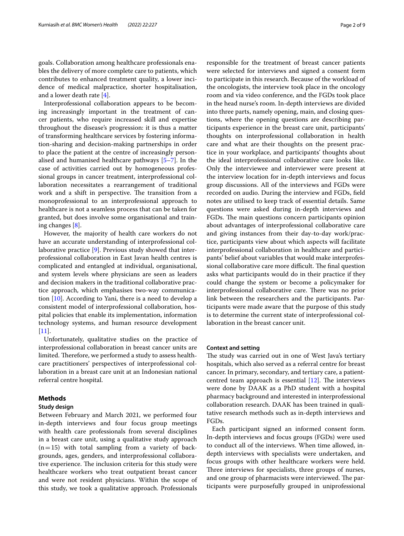Interprofessional collaboration appears to be becoming increasingly important in the treatment of cancer patients, who require increased skill and expertise throughout the disease's progression: it is thus a matter of transforming healthcare services by fostering information-sharing and decision-making partnerships in order to place the patient at the centre of increasingly personalised and humanised healthcare pathways [[5–](#page-7-4)[7\]](#page-7-5). In the case of activities carried out by homogeneous professional groups in cancer treatment, interprofessional collaboration necessitates a rearrangement of traditional work and a shift in perspective. The transition from a monoprofessional to an interprofessional approach to healthcare is not a seamless process that can be taken for granted, but does involve some organisational and training changes [\[8\]](#page-7-6).

However, the majority of health care workers do not have an accurate understanding of interprofessional collaborative practice [[9\]](#page-7-7). Previous study showed that interprofessional collaboration in East Javan health centres is complicated and entangled at individual, organisational, and system levels where physicians are seen as leaders and decision makers in the traditional collaborative practice approach, which emphasises two-way communication [\[10](#page-7-8)]. According to Yani, there is a need to develop a consistent model of interprofessional collaboration, hospital policies that enable its implementation, information technology systems, and human resource development  $[11]$  $[11]$ .

Unfortunately, qualitative studies on the practice of interprofessional collaboration in breast cancer units are limited. Therefore, we performed a study to assess healthcare practitioners' perspectives of interprofessional collaboration in a breast care unit at an Indonesian national referral centre hospital.

# **Methods**

# **Study design**

Between February and March 2021, we performed four in-depth interviews and four focus group meetings with health care professionals from several disciplines in a breast care unit, using a qualitative study approach  $(n=15)$  with total sampling from a variety of backgrounds, ages, genders, and interprofessional collaborative experience. The inclusion criteria for this study were healthcare workers who treat outpatient breast cancer and were not resident physicians. Within the scope of this study, we took a qualitative approach. Professionals responsible for the treatment of breast cancer patients were selected for interviews and signed a consent form to participate in this research. Because of the workload of the oncologists, the interview took place in the oncology room and via video conference, and the FGDs took place in the head nurse's room. In-depth interviews are divided into three parts, namely opening, main, and closing questions, where the opening questions are describing participants experience in the breast care unit, participants' thoughts on interprofessional collaboration in health care and what are their thoughts on the present practice in your workplace, and participants' thoughts about the ideal interprofessional collaborative care looks like. Only the interviewee and interviewer were present at the interview location for in-depth interviews and focus group discussions. All of the interviews and FGDs were recorded on audio. During the interview and FGDs, feld notes are utilised to keep track of essential details. Same questions were asked during in-depth interviews and FGDs. The main questions concern participants opinion about advantages of interprofessional collaborative care and giving instances from their day-to-day work/practice, participants view about which aspects will facilitate interprofessional collaboration in healthcare and participants' belief about variables that would make interprofessional collaborative care more difficult. The final question asks what participants would do in their practice if they could change the system or become a policymaker for interprofessional collaborative care. There was no prior link between the researchers and the participants. Participants were made aware that the purpose of this study is to determine the current state of interprofessional collaboration in the breast cancer unit.

# **Context and setting**

The study was carried out in one of West Java's tertiary hospitals, which also served as a referral centre for breast cancer. In primary, secondary, and tertiary care, a patientcentred team approach is essential  $[12]$  $[12]$ . The interviews were done by DAAK as a PhD student with a hospital pharmacy background and interested in interprofessional collaboration research. DAAK has been trained in qualitative research methods such as in-depth interviews and FGDs.

Each participant signed an informed consent form. In-depth interviews and focus groups (FGDs) were used to conduct all of the interviews. When time allowed, indepth interviews with specialists were undertaken, and focus groups with other healthcare workers were held. Three interviews for specialists, three groups of nurses, and one group of pharmacists were interviewed. The participants were purposefully grouped in uniprofessional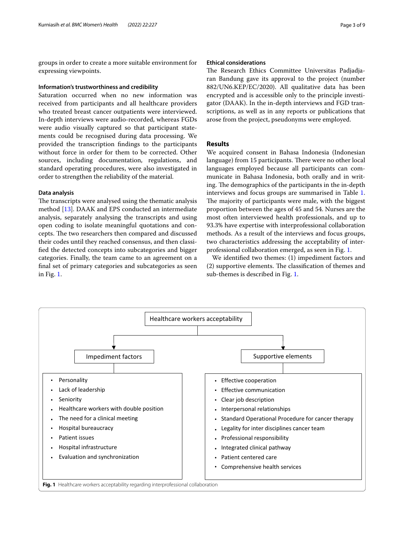groups in order to create a more suitable environment for expressing viewpoints.

#### **Information's trustworthiness and credibility**

Saturation occurred when no new information was received from participants and all healthcare providers who treated breast cancer outpatients were interviewed. In-depth interviews were audio-recorded, whereas FGDs were audio visually captured so that participant statements could be recognised during data processing. We provided the transcription fndings to the participants without force in order for them to be corrected. Other sources, including documentation, regulations, and standard operating procedures, were also investigated in order to strengthen the reliability of the material.

# **Data analysis**

The transcripts were analysed using the thematic analysis method [\[13](#page-7-11)]. DAAK and EPS conducted an intermediate analysis, separately analysing the transcripts and using open coding to isolate meaningful quotations and concepts. The two researchers then compared and discussed their codes until they reached consensus, and then classifed the detected concepts into subcategories and bigger categories. Finally, the team came to an agreement on a fnal set of primary categories and subcategories as seen in Fig. [1](#page-2-0).

# **Ethical considerations**

The Research Ethics Committee Universitas Padjadjaran Bandung gave its approval to the project (number 882/UN6.KEP/EC/2020). All qualitative data has been encrypted and is accessible only to the principle investigator (DAAK). In the in-depth interviews and FGD transcriptions, as well as in any reports or publications that arose from the project, pseudonyms were employed.

# **Results**

We acquired consent in Bahasa Indonesia (Indonesian language) from 15 participants. There were no other local languages employed because all participants can communicate in Bahasa Indonesia, both orally and in writing. The demographics of the participants in the in-depth interviews and focus groups are summarised in Table [1](#page-3-0). The majority of participants were male, with the biggest proportion between the ages of 45 and 54. Nurses are the most often interviewed health professionals, and up to 93.3% have expertise with interprofessional collaboration methods. As a result of the interviews and focus groups, two characteristics addressing the acceptability of interprofessional collaboration emerged, as seen in Fig. [1](#page-2-0).

We identifed two themes: (1) impediment factors and (2) supportive elements. The classification of themes and sub-themes is described in Fig. [1.](#page-2-0)

<span id="page-2-0"></span>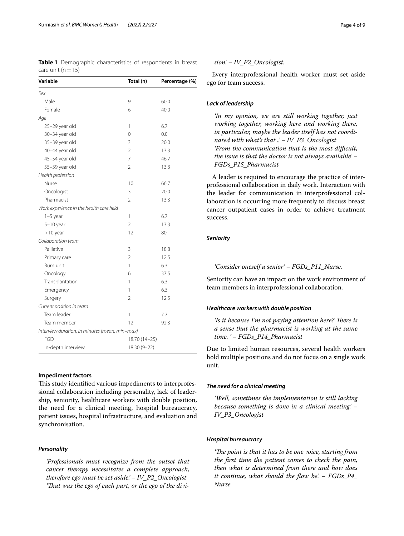<span id="page-3-0"></span>**Table 1** Demographic characteristics of respondents in breast care unit  $(n=15)$ 

| Variable                                       | Total (n)      | Percentage (%) |  |
|------------------------------------------------|----------------|----------------|--|
| Sex                                            |                |                |  |
| Male                                           | 9              | 60.0           |  |
| Female                                         | 6              | 40.0           |  |
| Age                                            |                |                |  |
| 25-29 year old                                 | 1              | 6.7            |  |
| 30-34 year old                                 | 0              | 0.0            |  |
| 35-39 year old                                 | 3              | 20.0           |  |
| 40-44 year old                                 | $\overline{2}$ | 13.3           |  |
| 45-54 year old                                 | 7              | 46.7           |  |
| 55-59 year old                                 | $\overline{2}$ | 13.3           |  |
| Health profession                              |                |                |  |
| Nurse                                          | 10             | 66.7           |  |
| Oncologist                                     | 3              | 20.0           |  |
| Pharmacist                                     | $\overline{2}$ | 13.3           |  |
| Work experience in the health care field       |                |                |  |
| $1-5$ year                                     | 1              | 6.7            |  |
| $5-10$ year                                    | $\overline{2}$ | 13.3           |  |
| $>10$ year                                     | 12             | 80             |  |
| Collaboration team                             |                |                |  |
| Palliative                                     | 3              | 18.8           |  |
| Primary care                                   | $\overline{2}$ | 12.5           |  |
| Burn unit                                      | 1              | 6.3            |  |
| Oncology                                       | 6              | 37.5           |  |
| Transplantation                                | 1              | 6.3            |  |
| Emergency                                      | 1              | 6.3            |  |
| Surgery                                        | $\overline{2}$ | 12.5           |  |
| Current position in team                       |                |                |  |
| Team leader                                    | 1              | 7.7            |  |
| Team member                                    | 12             | 92.3           |  |
| Interview duration, in minutes (mean, min-max) |                |                |  |
| <b>FGD</b>                                     |                | 18.70 (14-25)  |  |
| In-depth interview                             |                | 18.30 (9-22)   |  |

# **Impediment factors**

This study identified various impediments to interprofessional collaboration including personality, lack of leadership, seniority, healthcare workers with double position, the need for a clinical meeting, hospital bureaucracy, patient issues, hospital infrastructure, and evaluation and synchronisation.

# *Personality*

*'Professionals must recognize from the outset that cancer therapy necessitates a complete approach, therefore ego must be set aside.' – IV\_P2\_Oncologist 'Tat was the ego of each part, or the ego of the divi-*

# *sion.' – IV\_P2\_Oncologist.*

Every interprofessional health worker must set aside ego for team success.

# *Lack of leadership*

*'In my opinion, we are still working together, just working together, working here and working there, in particular, maybe the leader itself has not coordinated with what's that ..' – IV\_P3\_Oncologist 'From the communication that is the most difcult, the issue is that the doctor is not always available' – FGDs\_P15\_Pharmacist*

A leader is required to encourage the practice of interprofessional collaboration in daily work. Interaction with the leader for communication in interprofessional collaboration is occurring more frequently to discuss breast cancer outpatient cases in order to achieve treatment success.

# *Seniority*

*'Consider oneself a senior' – FGDs\_P11\_Nurse.*

Seniority can have an impact on the work environment of team members in interprofessional collaboration.

# *Healthcare workers with double position*

*'Is it because I'm not paying attention here? There is a sense that the pharmacist is working at the same time. ' – FGDs\_P14\_Pharmacist*

Due to limited human resources, several health workers hold multiple positions and do not focus on a single work unit.

## *The need for a clinical meeting*

*'Well, sometimes the implementation is still lacking because something is done in a clinical meeting.' – IV\_P3\_Oncologist*

# *Hospital bureaucracy*

*'The point is that it has to be one voice, starting from the frst time the patient comes to check the pain, then what is determined from there and how does it continue, what should the fow be.' – FGDs\_P4\_ Nurse*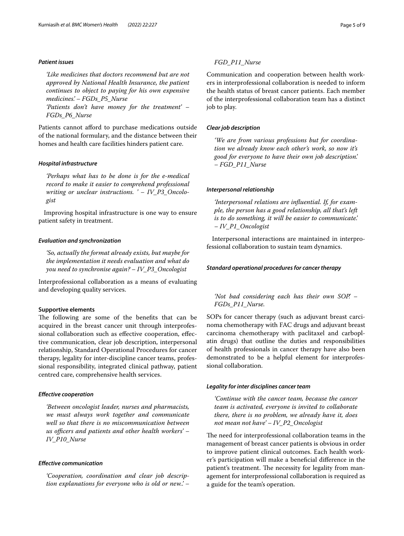# *Patient issues*

*'Like medicines that doctors recommend but are not approved by National Health Insurance, the patient continues to object to paying for his own expensive medicines.' – FGDs\_P5\_Nurse 'Patients don't have money for the treatment' –* 

*FGDs\_P6\_Nurse*

Patients cannot afford to purchase medications outside of the national formulary, and the distance between their homes and health care facilities hinders patient care.

# *Hospital infrastructure*

*'Perhaps what has to be done is for the e-medical record to make it easier to comprehend professional writing or unclear instructions. ' – IV\_P3\_Oncologist*

Improving hospital infrastructure is one way to ensure patient safety in treatment.

## *Evaluation and synchronization*

*'So, actually the format already exists, but maybe for the implementation it needs evaluation and what do you need to synchronise again? – IV\_P3\_Oncologist*

Interprofessional collaboration as a means of evaluating and developing quality services.

# **Supportive elements**

The following are some of the benefits that can be acquired in the breast cancer unit through interprofessional collaboration such as efective cooperation, efective communication, clear job description, interpersonal relationship, Standard Operational Procedures for cancer therapy, legality for inter-discipline cancer teams, professional responsibility, integrated clinical pathway, patient centred care, comprehensive health services.

# *Efective cooperation*

*'Between oncologist leader, nurses and pharmacists, we must always work together and communicate well so that there is no miscommunication between*  us officers and patients and other health workers' – *IV\_P10\_Nurse*

# *Efective communication*

*'Cooperation, coordination and clear job description explanations for everyone who is old or new..' –*  Communication and cooperation between health workers in interprofessional collaboration is needed to inform the health status of breast cancer patients. Each member of the interprofessional collaboration team has a distinct job to play.

# *Clear job description*

*'We are from various professions but for coordination we already know each other's work, so now it's good for everyone to have their own job description.' – FGD\_P11\_Nurse*

# *Interpersonal relationship*

*'Interpersonal relations are infuential. If, for example, the person has a good relationship, all that's left is to do something, it will be easier to communicate.' – IV\_P1\_Oncologist*

Interpersonal interactions are maintained in interprofessional collaboration to sustain team dynamics.

# *Standard operational procedures for cancer therapy*

*'Not bad considering each has their own SOP.' – FGDs\_P11\_Nurse.*

SOPs for cancer therapy (such as adjuvant breast carcinoma chemotherapy with FAC drugs and adjuvant breast carcinoma chemotherapy with paclitaxel and carboplatin drugs) that outline the duties and responsibilities of health professionals in cancer therapy have also been demonstrated to be a helpful element for interprofessional collaboration.

# *Legality for inter disciplines cancer team*

*'Continue with the cancer team, because the cancer team is activated, everyone is invited to collaborate there, there is no problem, we already have it, does not mean not have' – IV\_P2\_Oncologist*

The need for interprofessional collaboration teams in the management of breast cancer patients is obvious in order to improve patient clinical outcomes. Each health worker's participation will make a benefcial diference in the patient's treatment. The necessity for legality from management for interprofessional collaboration is required as a guide for the team's operation.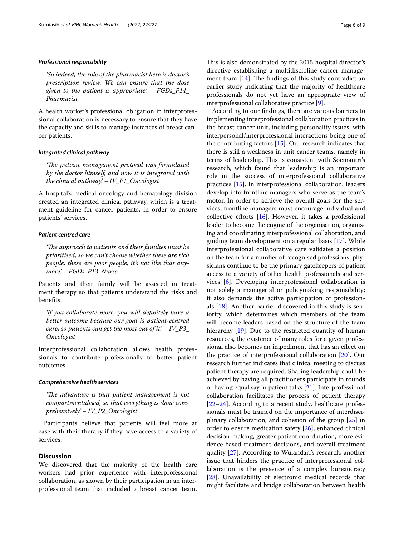# *Professional responsibility*

*'So indeed, the role of the pharmacist here is doctor's prescription review. We can ensure that the dose given to the patient is appropriate.' – FGDs\_P14\_ Pharmacist*

A health worker's professional obligation in interprofessional collaboration is necessary to ensure that they have the capacity and skills to manage instances of breast cancer patients.

# *Integrated clinical pathway*

*'The patient management protocol was formulated by the doctor himself, and now it is integrated with the clinical pathway.' – IV\_P1\_Oncologist*

A hospital's medical oncology and hematology division created an integrated clinical pathway, which is a treatment guideline for cancer patients, in order to ensure patients' services.

# *Patient centred care*

'The approach to patients and their families must be *prioritised, so we can't choose whether these are rich people, these are poor people, it's not like that anymore.' – FGDs\_P13\_Nurse*

Patients and their family will be assisted in treatment therapy so that patients understand the risks and benefts.

*'If you collaborate more, you will defnitely have a better outcome because our goal is patient-centred care, so patients can get the most out of it.' – IV\_P3\_ Oncologist*

Interprofessional collaboration allows health professionals to contribute professionally to better patient outcomes.

# *Comprehensive health services*

*'The advantage is that patient management is not compartmentalised, so that everything is done comprehensively.' – IV\_P2\_Oncologist*

Participants believe that patients will feel more at ease with their therapy if they have access to a variety of services.

# **Discussion**

We discovered that the majority of the health care workers had prior experience with interprofessional collaboration, as shown by their participation in an interprofessional team that included a breast cancer team. This is also demonstrated by the 2015 hospital director's directive establishing a multidiscipline cancer management team  $[14]$  $[14]$ . The findings of this study contradict an earlier study indicating that the majority of healthcare professionals do not yet have an appropriate view of interprofessional collaborative practice [[9\]](#page-7-7).

According to our fndings, there are various barriers to implementing interprofessional collaboration practices in the breast cancer unit, including personality issues, with interpersonal/interprofessional interactions being one of the contributing factors [\[15](#page-7-13)]. Our research indicates that there is still a weakness in unit cancer teams, namely in terms of leadership. This is consistent with Soemantri's research, which found that leadership is an important role in the success of interprofessional collaborative practices [[15\]](#page-7-13). In interprofessional collaboration, leaders develop into frontline managers who serve as the team's motor. In order to achieve the overall goals for the services, frontline managers must encourage individual and collective efforts  $[16]$  $[16]$ . However, it takes a professional leader to become the engine of the organisation, organising and coordinating interprofessional collaboration, and guiding team development on a regular basis [[17](#page-7-15)]. While interprofessional collaborative care validates a position on the team for a number of recognised professions, physicians continue to be the primary gatekeepers of patient access to a variety of other health professionals and services [[6\]](#page-7-16). Developing interprofessional collaboration is not solely a managerial or policymaking responsibility; it also demands the active participation of professionals [\[18\]](#page-7-17). Another barrier discovered in this study is seniority, which determines which members of the team will become leaders based on the structure of the team hierarchy [[19\]](#page-7-18). Due to the restricted quantity of human resources, the existence of many roles for a given professional also becomes an impediment that has an efect on the practice of interprofessional collaboration [[20\]](#page-7-19). Our research further indicates that clinical meeting to discuss patient therapy are required. Sharing leadership could be achieved by having all practitioners participate in rounds or having equal say in patient talks [\[21](#page-7-20)]. Interprofessional collaboration facilitates the process of patient therapy [[22–](#page-7-21)[24\]](#page-7-22). According to a recent study, healthcare professionals must be trained on the importance of interdisciplinary collaboration, and cohesion of the group [\[25\]](#page-7-23) in order to ensure medication safety [\[26\]](#page-7-24), enhanced clinical decision-making, greater patient coordination, more evidence-based treatment decisions, and overall treatment quality [\[27\]](#page-7-25). According to Wulandari's research, another issue that hinders the practice of interprofessional collaboration is the presence of a complex bureaucracy [[28\]](#page-7-26). Unavailability of electronic medical records that might facilitate and bridge collaboration between health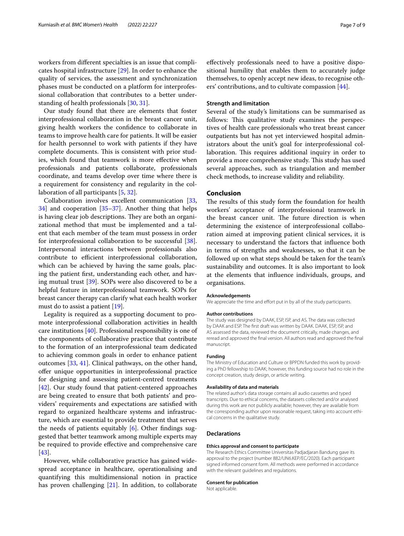sional collaboration that contributes to a better understanding of health professionals [\[30,](#page-7-28) [31](#page-7-29)]. Our study found that there are elements that foster interprofessional collaboration in the breast cancer unit, giving health workers the confdence to collaborate in teams to improve health care for patients. It will be easier for health personnel to work with patients if they have

complete documents. This is consistent with prior studies, which found that teamwork is more efective when professionals and patients collaborate, professionals coordinate, and teams develop over time where there is a requirement for consistency and regularity in the collaboration of all participants [[5,](#page-7-4) [32](#page-7-30)].

Collaboration involves excellent communication [\[33](#page-7-31), [34\]](#page-7-32) and cooperation [[35–](#page-7-33)[37](#page-7-34)]. Another thing that helps is having clear job descriptions. They are both an organizational method that must be implemented and a talent that each member of the team must possess in order for interprofessional collaboration to be successful [\[38](#page-7-35)]. Interpersonal interactions between professionals also contribute to efficient interprofessional collaboration, which can be achieved by having the same goals, placing the patient frst, understanding each other, and having mutual trust [\[39](#page-8-0)]. SOPs were also discovered to be a helpful feature in interprofessional teamwork. SOPs for breast cancer therapy can clarify what each health worker must do to assist a patient [\[19\]](#page-7-18).

Legality is required as a supporting document to promote interprofessional collaboration activities in health care institutions [[40](#page-8-1)]. Professional responsibility is one of the components of collaborative practice that contribute to the formation of an interprofessional team dedicated to achieving common goals in order to enhance patient outcomes [[33](#page-7-31), [41](#page-8-2)]. Clinical pathways, on the other hand, ofer unique opportunities in interprofessional practice for designing and assessing patient-centred treatments [[42\]](#page-8-3). Our study found that patient-centered approaches are being created to ensure that both patients' and providers' requirements and expectations are satisfed with regard to organized healthcare systems and infrastructure, which are essential to provide treatment that serves the needs of patients equitably  $[6]$  $[6]$ . Other findings suggested that better teamwork among multiple experts may be required to provide efective and comprehensive care [[43\]](#page-8-4).

However, while collaborative practice has gained widespread acceptance in healthcare, operationalising and quantifying this multidimensional notion in practice has proven challenging [[21\]](#page-7-20). In addition, to collaborate efectively professionals need to have a positive dispositional humility that enables them to accurately judge themselves, to openly accept new ideas, to recognise others' contributions, and to cultivate compassion [\[44](#page-8-5)].

#### **Strength and limitation**

Several of the study's limitations can be summarised as follows: This qualitative study examines the perspectives of health care professionals who treat breast cancer outpatients but has not yet interviewed hospital administrators about the unit's goal for interprofessional collaboration. This requires additional inquiry in order to provide a more comprehensive study. This study has used several approaches, such as triangulation and member check methods, to increase validity and reliability.

# **Conclusion**

The results of this study form the foundation for health workers' acceptance of interprofessional teamwork in the breast cancer unit. The future direction is when determining the existence of interprofessional collaboration aimed at improving patient clinical services, it is necessary to understand the factors that infuence both in terms of strengths and weaknesses, so that it can be followed up on what steps should be taken for the team's sustainability and outcomes. It is also important to look at the elements that infuence individuals, groups, and organisations.

#### **Acknowledgements**

We appreciate the time and effort put in by all of the study participants.

#### **Author contributions**

The study was designed by DAAK, ESP, ISP, and AS. The data was collected by DAAK and ESP. The frst draft was written by DAAK. DAAK, ESP, ISP, and AS assessed the data, reviewed the document critically, made changes, and reread and approved the fnal version. All authors read and approved the fnal manuscript.

#### **Funding**

The Ministry of Education and Culture or BPPDN funded this work by providing a PhD fellowship to DAAK; however, this funding source had no role in the concept creation, study design, or article writing.

#### **Availability of data and materials**

The related author's data storage contains all audio cassettes and typed transcripts. Due to ethical concerns, the datasets collected and/or analysed during this work are not publicly available; however, they are available from the corresponding author upon reasonable request, taking into account ethical concerns in the qualitative study.

#### **Declarations**

#### **Ethics approval and consent to participate**

The Research Ethics Committee Universitas Padjadjaran Bandung gave its approval to the project (number 882/UN6.KEP/EC/2020). Each participant signed informed consent form. All methods were performed in accordance with the relevant guidelines and regulations.

#### **Consent for publication**

Not applicable.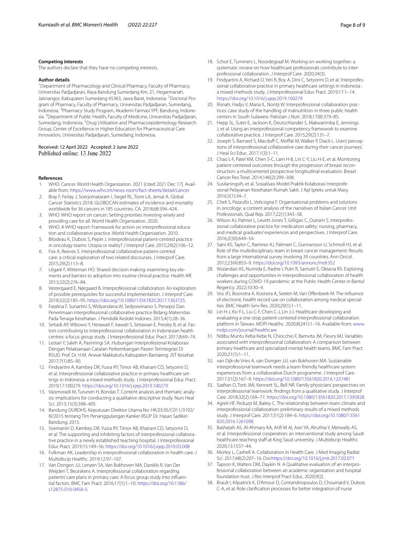#### **Competing interests**

The authors declare that they have no competing interests.

#### **Author details**

<sup>1</sup> Department of Pharmacology and Clinical Pharmacy, Faculty of Pharmacy, Universitas Padjadjaran, Raya Bandung Sumedang Km. 21, Hegarmanah, Jatinangor, Kabupaten Sumedang 45363, Jawa Barat, Indonesia. <sup>2</sup>Doctoral Program of Pharmacy, Faculty of Pharmacy, Universitas Padjadjaran, Sumedang, Indonesia. <sup>3</sup>Pharmacy Study Program, Akademi Farmasi YPF, Bandung, Indonesia. 4 Department of Public Health, Faculty of Medicine, Universitas Padjadjaran, Sumedang, Indonesia. <sup>5</sup> Drug Utilization and Pharmacoepidemiology Research Group, Center of Excellence in Higher Education for Pharmaceutical Care Innovation, Universitas Padjadjaran, Sumedang, Indonesia.

Received: 12 April 2022 Accepted: 2 June 2022 Published online: 13 June 2022

#### **References**

- <span id="page-7-0"></span>1. WHO. Cancer. World Health Organization. 2021 [cited 2021 Dec 17]. Available from:<https://www.who.int/news-room/fact-sheets/detail/cancer>
- <span id="page-7-1"></span>2. Bray F, Ferlay J, Soerjomataram I, Siegel RL, Torre LA, Jemal A. Global Cancer Statistics 2018: GLOBOCAN estimates of incidence and mortality worldwide for 36 cancers in 185 countries. CA. 2018;68:394–424.
- <span id="page-7-2"></span>3. WHO. WHO report on cancer: Setting priorities investing wisely and providing care for all. World Health Organization. 2020.
- <span id="page-7-3"></span>4. WHO. A WHO report: Framework for action on interprofessional education and collaborative practice. World Health Organization. 2010.
- <span id="page-7-4"></span>5. Bilodeau K, Dubois S, Pepin J. Interprofessional patient-centred practice in oncology teams: Utopia or reality? J Interprof Care. 2015;29(2):106–12.
- <span id="page-7-16"></span>6. Fox A, Reeves S. Interprofessional collaborative patient-centred care: a critical exploration of two related discourses. J Interprof Care. 2015;29(2):113–8.
- <span id="page-7-5"></span>7. Légaré F, Witteman HO. Shared decision making: examining key elements and barriers to adoption into routine clinical practice. Health Af. 2013;32(2):276–84.
- <span id="page-7-6"></span>8. Vestergaard E, Nørgaard B. Interprofessional collaboration: An exploration of possible prerequisites for successful implementation. J Interprof Care. 2018;32(2):185–95. [https://doi.org/10.1080/13561820.2017.1363725.](https://doi.org/10.1080/13561820.2017.1363725)
- <span id="page-7-7"></span>9. Fatalina F, Sunartini S, Widyandana W, Sedyowinarso S. Persepsi Dan Penerimaan interprofessional collaborative practice Bidang Maternitas Pada Tenaga Kesehatan. J Pendidik Kedokt Indones. 2015;4(1):28-36.
- <span id="page-7-8"></span>10. Setiadi AP, Wibowo Y, Herawati F, Irawati S, Setiawan E, Presley B, et al. Factors contributing to interprofessional collaboration in Indonesian health centres: a focus group study. J Interprofessional Educ Pract. 2017;8:69–74.
- <span id="page-7-9"></span>11. Lestari Y, Saleh A, Pasinringi SA. Hubungan Interprofesional Kolaborasi Dengan Pelaksanaan Catatan Perkembangan Pasien Terintegrasi Di RSUD. Prof. Dr. H.M. Anwar Makkatutu Kabupaten Bantaeng. JST Kesehat. 2017;7(1):85–90.
- <span id="page-7-10"></span>12. Findyartini A, Kambey DR, Yusra RY, Timor AB, Khairani CD, Setyorini D, et al. Interprofessional collaborative practice in primary healthcare settings in Indonesia: a mixed-methods study. J Interprofessional Educ Pract. 2019;17:100279.<https://doi.org/10.1016/j.xjep.2019.100279>
- <span id="page-7-11"></span>13. Vaismoradi M, Turunen H, Bondas T. Content analysis and thematic analysis: implications for conducting a qualitative descriptive study. Nurs Heal Sci. 2013;15(3):398–405.
- <span id="page-7-12"></span>14. Bandung DURDHS. Keputusan Direktur Utama No: HK.03.05/C011/3192/ III/2015 tentang Tim Penanggulangan Kanker RSUP Dr. Hasan Sadikin Bandung; 2015.
- <span id="page-7-13"></span>15. Soemantri D, Kambey DR, Yusra RY, Timor AB, Khairani CD, Setyorini D, et al. The supporting and inhibiting factors of interprofessional collaborative practice in a newly established teaching hospital. J Interprofessional Educ Pract. 2019;15:149–56. <https://doi.org/10.1016/j.xjep.2019.03.008>
- <span id="page-7-14"></span>16. Folkman AK. Leadership in interprofessional collaboration in health care. J Multidiscip Healthc. 2019;12:97–107.
- <span id="page-7-15"></span>17. Van Dongen JJJ, Lenzen SA, Van Bokhoven MA, Daniëls R, Van Der Weijden T, Beurskens A. Interprofessional collaboration regarding patients' care plans in primary care: A focus group study into influential factors. BMC Fam Pract. 2016;17(1):1–10. [https://doi.org/10.1186/](https://doi.org/10.1186/s12875-016-0456-5) [s12875-016-0456-5.](https://doi.org/10.1186/s12875-016-0456-5)
- <span id="page-7-17"></span>18. Schot E, Tummers L, Noordegraaf M. Working on working together: a systematic review on how healthcare professionals contribute to interprofessional collaboration. J Interprof Care. 2020;34(3).
- <span id="page-7-18"></span>19. Findyartini A, Richard D, Yeti R, Boy A, Dini C, Setyorini D, et al. Interprofessional collaborative practice in primary healthcare settings in Indonesia : a mixed-methods study. J Interprofessional Educ Pract. 2019;17:1–14. <https://doi.org/10.1016/j.xjep.2019.100279>
- <span id="page-7-19"></span>20. Risnah, Hadju V, Maria IL, Nontji W. Interprofessional collaboration practices: case study of the handling of malnutrition in three public health centers in South Sulawesi. Pakistan J Nutr. 2018;17(8):379–85.
- <span id="page-7-20"></span>21. Hepp SL, Suter E, Jackson K, Deutschlander S, Makwarimba E, Jennings J, et al. Using an interprofessional competency framework to examine collaborative practice. J Interprof Care. 2015;29(2):131–7.
- <span id="page-7-21"></span>22. Joseph S, Barnard S, Macduff C, Moffat M, Walker P, Diack L. Users' perceptions of interprofessional collaborative care during their cancer journeys'. J Heal Sci Educ. 2017;1(3):1–11.
- 23. Chao L-F, Patel KM, Chen S-C, Lam H-B, Lin C-Y, Liu H-E, et al. Monitoring patient-centered outcomes through the progression of breast reconstruction: a multicentered prospective longitudinal evaluation. Breast Cancer Res Treat. 2014;146(2):299–308.
- <span id="page-7-22"></span>24. Susilaningsih, et al. Sosialisasi Model Praktik Kolaborasi Interprofesional Pelayanan Kesehatan Rumah Sakit. J Apl Ipteks untuk Masy. 2016;5(1):34–7.
- <span id="page-7-23"></span>25. Cheli S, Pezzullo L, Velicogna F. Organisational problems and solutions in oncology: a content analysis of the narratives of Italian Cancer Unit Professionals. Qual Rep. 2017;22(1):343–58.
- <span id="page-7-24"></span>26. Wilson AJ, Palmer L, Levett-Jones T, Gilligan C, Outram S. Interprofessional collaborative practice for medication safety: nursing, pharmacy, and medical graduates' experiences and perspectives. J Interprof Care. 2016;2(30):649–54.
- <span id="page-7-25"></span>27. Saini KS, Taylor C, Ramirez AJ, Palmieri C, Gunnarsson U, Schmoll HJ, et al. Role of the multidisciplinary team in breast cancer management: Results from a large international survey involving 39 countries. Ann Oncol. 2012;23(4):853–9.<https://doi.org/10.1093/annonc/mdr352>
- <span id="page-7-26"></span>28. Wulandari AS, Nurinda E, Radne I, Putri R, Samutri E, Oktavia RS. Exploring challenges and opportunities in interprofessional collaboration of health workers during COVID-19 pandemic at the Public Health Center in Bantul Regency. 2022;10:30–4.
- <span id="page-7-27"></span>29. Vos JFJ, Boonstra A, Kooistra A, Seelen M, Van Offenbeek M. The influence of electronic health record use on collaboration among medical specialties. BMC Health Serv Res. 2020;20(1):1–11.
- <span id="page-7-28"></span>30. Lin H-J, Ko Y-L, Liu C-F, Chen C-J, Lin J-J. Healthcare developing and evaluating a one-stop patient-centered interprofessional collaboration platform in Taiwan. MDPI Healthc. 2020;8(241):1–16. Available from: [www.](http://www.mdpi.com/journal/healthcare) [mdpi.com/journal/healthcare](http://www.mdpi.com/journal/healthcare)
- <span id="page-7-29"></span>31. Ndibu Muntu Keba Kebe N, Chiocchio F, Bamvita JM, Fleury MJ. Variables associated with interprofessional collaboration: A comparison between primary healthcare and specialized mental health teams. BMC Fam Pract. 2020;21(1):1–11.
- <span id="page-7-30"></span>32. van Dijk-de Vries A, van Dongen JJJ, van Bokhoven MA. Sustainable interprofessional teamwork needs a team-friendly healthcare system: experiences from a collaborative Dutch programme. J Interprof Care. 2017;31(2):167–9.<https://doi.org/10.1080/13561820.2016.1237481>
- <span id="page-7-31"></span>33. Szafran O, Torti JMI, Kennett SL, Bell NR. Family physicians' perspectives on interprofessional teamwork: fndings from a qualitative study. J Interprof Care. 2018;32(2):169–77.<https://doi.org/10.1080/13561820.2017.1395828>.
- <span id="page-7-32"></span>34. Agreli HF, Peduzzi M, Bailey C. The relationship between team climate and interprofessional collaboration: preliminary results of a mixed methods study. J Interprof Care. 2017;31(2):184–6. [https://doi.org/10.1080/13561](https://doi.org/10.1080/13561820.2016.1261098) [820.2016.1261098.](https://doi.org/10.1080/13561820.2016.1261098)
- <span id="page-7-33"></span>35. Bashatah AS, Al-Ahmary KA, Arif M Al, Asiri YA, Alruthia Y, Metwally AS, et al. Interprofessional cooperation: an interventional study among Saudi healthcare teaching staff at King Saud university. J Multidiscip Healthc. 2020;13:1537–44.
- 36. Morley L, Cashell A. Collaboration in Health Care. J Med Imaging Radiat Sci. 2017;48(2):207–16. Doi[:https://doi.org/10.1016/j.jmir.2017.02.071](https://doi.org/10.1016/j.jmir.2017.02.071)
- <span id="page-7-34"></span>37. Tapson K, Walters DM, Daykin N. A Qualitative evaluation of an interprofessional collaboration between an academic organization and hospital foundation trust. J Res Interprof Pract Educ. 2020;9(2).
- <span id="page-7-35"></span>38. Brault I, Kilpatrick K, D'Amour D, Contandriopoulos D, Chouinard V, Dubois C-A, et al. Role clarifcation processes for better integration of nurse